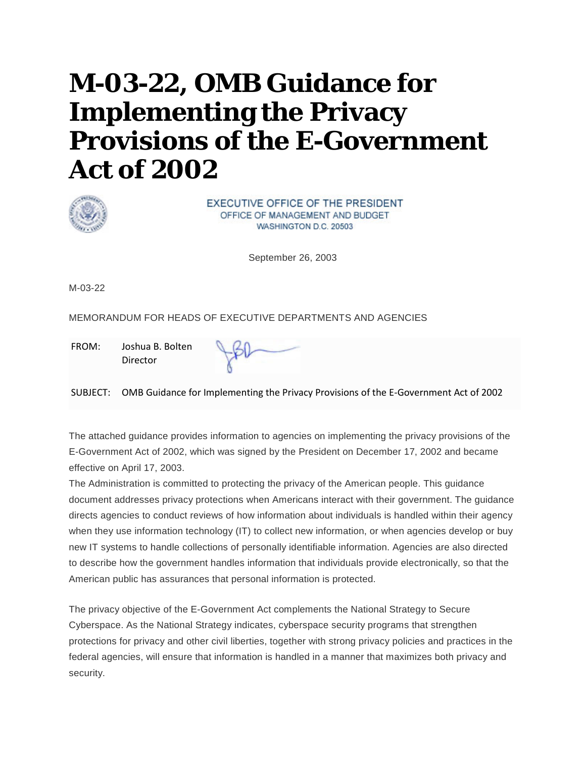# **M-03-22, OMB Guidance for Implementing the Privacy Provisions of the E-Government Act of 2002**



EXECUTIVE OFFICE OF THE PRESIDENT OFFICE OF MANAGEMENT AND BUDGET WASHINGTON D.C. 20503

September 26, 2003

M-03-22

MEMORANDUM FOR HEADS OF EXECUTIVE DEPARTMENTS AND AGENCIES

FROM: Joshua B. Bolten Director

SUBJECT: OMB Guidance for Implementing the Privacy Provisions of the E-Government Act of 2002

The attached guidance provides information to agencies on implementing the privacy provisions of the E-Government Act of 2002, which was signed by the President on December 17, 2002 and became effective on April 17, 2003.

The Administration is committed to protecting the privacy of the American people. This guidance document addresses privacy protections when Americans interact with their government. The guidance directs agencies to conduct reviews of how information about individuals is handled within their agency when they use information technology (IT) to collect new information, or when agencies develop or buy new IT systems to handle collections of personally identifiable information. Agencies are also directed to describe how the government handles information that individuals provide electronically, so that the American public has assurances that personal information is protected.

The privacy objective of the E-Government Act complements the National Strategy to Secure Cyberspace. As the National Strategy indicates, cyberspace security programs that strengthen protections for privacy and other civil liberties, together with strong privacy policies and practices in the federal agencies, will ensure that information is handled in a manner that maximizes both privacy and security.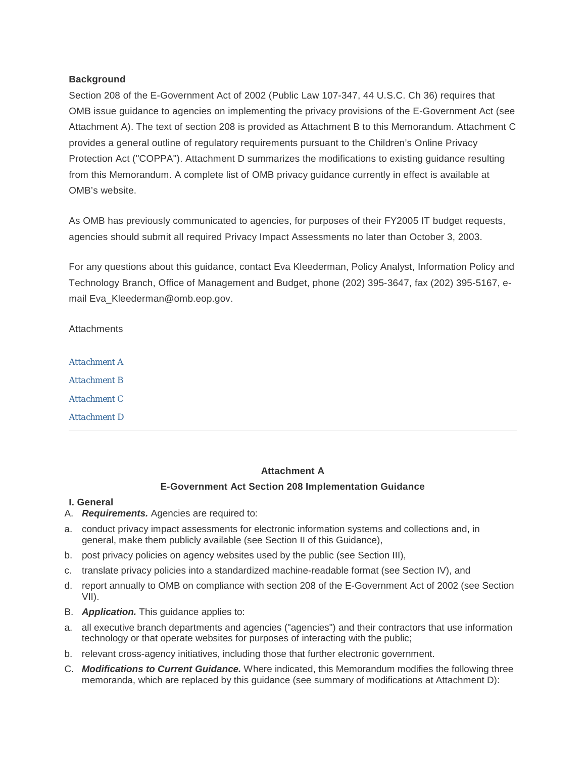#### **Background**

Section 208 of the E-Government Act of 2002 (Public Law 107-347, 44 U.S.C. Ch 36) requires that OMB issue guidance to agencies on implementing the privacy provisions of the E-Government Act (see Attachment A). The text of section 208 is provided as Attachment B to this Memorandum. Attachment C provides a general outline of regulatory requirements pursuant to the Children's Online Privacy Protection Act ("COPPA"). Attachment D summarizes the modifications to existing guidance resulting from this Memorandum. A complete list of OMB privacy guidance currently in effect is available at OMB's website.

As OMB has previously communicated to agencies, for purposes of their FY2005 IT budget requests, agencies should submit all required Privacy Impact Assessments no later than October 3, 2003.

For any questions about this guidance, contact Eva Kleederman, Policy Analyst, Information Policy and Technology Branch, Office of Management and Budget, phone (202) 395-3647, fax (202) 395-5167, email Eva\_Kleederman@omb.eop.gov.

**Attachments** 

*[Attachment A](#page-1-0) [Attachment B](#page-10-0) [Attachment C](#page-11-0)*

*[Attachment D](#page-13-0)*

# <span id="page-1-0"></span>**Attachment A**

# **E-Government Act Section 208 Implementation Guidance**

#### **I. General**

- A. *Requirements.* Agencies are required to:
- a. conduct privacy impact assessments for electronic information systems and collections and, in general, make them publicly available (see Section II of this Guidance),
- b. post privacy policies on agency websites used by the public (see Section III),
- c. translate privacy policies into a standardized machine-readable format (see Section IV), and
- d. report annually to OMB on compliance with section 208 of the E-Government Act of 2002 (see Section VII).
- B. *Application.* This guidance applies to:
- a. all executive branch departments and agencies ("agencies") and their contractors that use information technology or that operate websites for purposes of interacting with the public;
- b. relevant cross-agency initiatives, including those that further electronic government.
- C. *Modifications to Current Guidance.* Where indicated, this Memorandum modifies the following three memoranda, which are replaced by this guidance (see summary of modifications at Attachment D):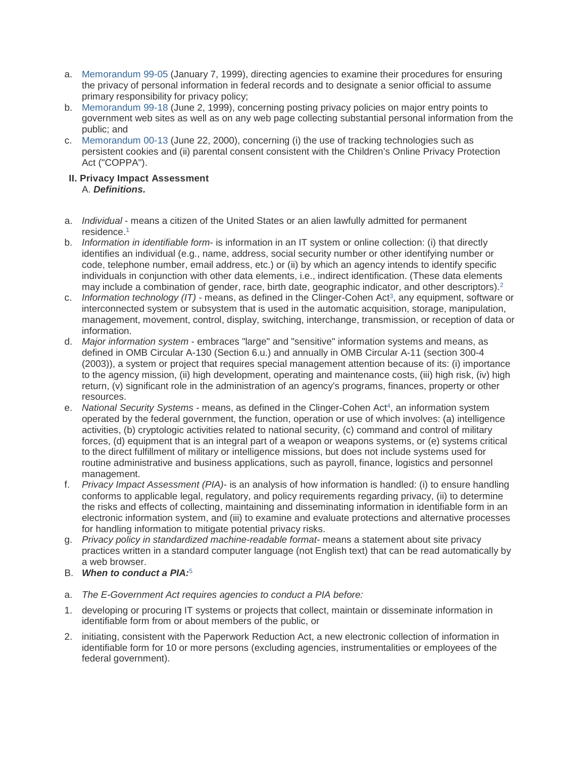- a. [Memorandum 99-05](https://www.whitehouse.gov/wp-content/uploads/2017/11/1999-M-99-05-Instructions-on-Complying-with-Presidents-Memorandum-of-May-14-1998-Privacy-and-Personal-Information-in-Federal-Records.pdf) (January 7, 1999), directing agencies to examine their procedures for ensuring the privacy of personal information in federal records and to designate a senior official to assume primary responsibility for privacy policy;
- b. [Memorandum 99-18](https://www.whitehouse.gov/wp-content/uploads/2017/11/1999-M-99-18-Privacy-Policies-on-Federal-Web-Sites.pdf) (June 2, 1999), concerning posting privacy policies on major entry points to government web sites as well as on any web page collecting substantial personal information from the public; and
- c. [Memorandum 00-13](https://www.whitehouse.gov/wp-content/uploads/2017/11/2000-M-00-13-Privacy-Policies-and-Data-Collection-on-Federal-Web-Sites-1.pdf) (June 22, 2000), concerning (i) the use of tracking technologies such as persistent cookies and (ii) parental consent consistent with the Children's Online Privacy Protection Act ("COPPA").

## **II. Privacy Impact Assessment** A. *Definitions.*

- a. *Individual* means a citizen of the United States or an alien lawfully admitted for permanent residence[.1](https://obamawhitehouse.archives.gov/omb/memoranda_m03-22/#1)
- b. *Information in identifiable form* is information in an IT system or online collection: (i) that directly identifies an individual (e.g., name, address, social security number or other identifying number or code, telephone number, email address, etc.) or (ii) by which an agency intends to identify specific individuals in conjunction with other data elements, i.e., indirect identification. (These data elements may include a combination of gender, race, birth date, geographic indicator, and other descriptors)[.2](https://obamawhitehouse.archives.gov/omb/memoranda_m03-22/#2)
- c. *Information technology (IT)* means, as defined in the Clinger-Cohen Ac[t3,](https://obamawhitehouse.archives.gov/omb/memoranda_m03-22/#3) any equipment, software or interconnected system or subsystem that is used in the automatic acquisition, storage, manipulation, management, movement, control, display, switching, interchange, transmission, or reception of data or information.
- d. *Major information system* embraces "large" and "sensitive" information systems and means, as defined in OMB Circular A-130 (Section 6.u.) and annually in OMB Circular A-11 (section 300-4 (2003)), a system or project that requires special management attention because of its: (i) importance to the agency mission, (ii) high development, operating and maintenance costs, (iii) high risk, (iv) high return, (v) significant role in the administration of an agency's programs, finances, property or other resources.
- e. *National Security Systems* means, as defined in the Clinger-Cohen Ac[t4,](https://obamawhitehouse.archives.gov/omb/memoranda_m03-22/#4) an information system operated by the federal government, the function, operation or use of which involves: (a) intelligence activities, (b) cryptologic activities related to national security, (c) command and control of military forces, (d) equipment that is an integral part of a weapon or weapons systems, or (e) systems critical to the direct fulfillment of military or intelligence missions, but does not include systems used for routine administrative and business applications, such as payroll, finance, logistics and personnel management.
- f. *Privacy Impact Assessment (PIA)* is an analysis of how information is handled: (i) to ensure handling conforms to applicable legal, regulatory, and policy requirements regarding privacy, (ii) to determine the risks and effects of collecting, maintaining and disseminating information in identifiable form in an electronic information system, and (iii) to examine and evaluate protections and alternative processes for handling information to mitigate potential privacy risks.
- g. *Privacy policy in standardized machine-readable format* means a statement about site privacy practices written in a standard computer language (not English text) that can be read automatically by a web browser.
- B. *When to conduct a PIA:*[5](https://obamawhitehouse.archives.gov/omb/memoranda_m03-22/#5)
- a. *The E-Government Act requires agencies to conduct a PIA before:*
- 1. developing or procuring IT systems or projects that collect, maintain or disseminate information in identifiable form from or about members of the public, or
- 2. initiating, consistent with the Paperwork Reduction Act, a new electronic collection of information in identifiable form for 10 or more persons (excluding agencies, instrumentalities or employees of the federal government).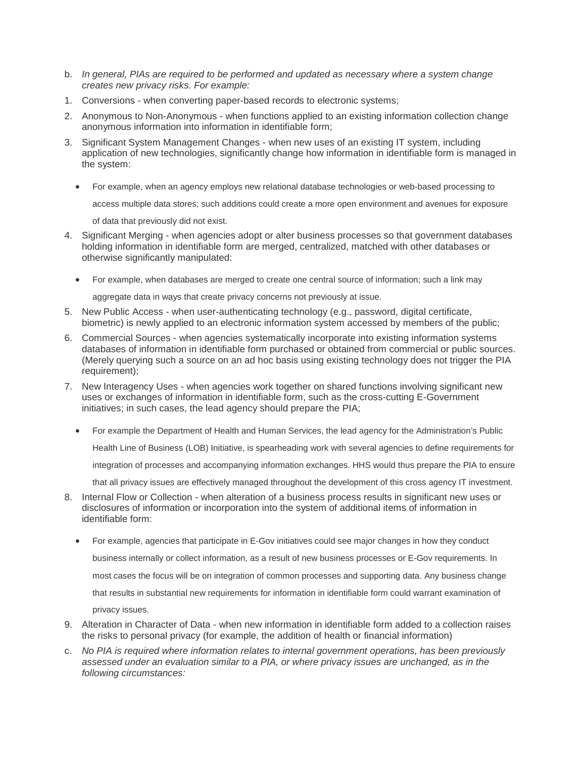- b. *In general, PIAs are required to be performed and updated as necessary where a system change creates new privacy risks. For example:*
- 1. Conversions when converting paper-based records to electronic systems;
- 2. Anonymous to Non-Anonymous when functions applied to an existing information collection change anonymous information into information in identifiable form;
- 3. Significant System Management Changes when new uses of an existing IT system, including application of new technologies, significantly change how information in identifiable form is managed in the system:
	- For example, when an agency employs new relational database technologies or web-based processing to

access multiple data stores; such additions could create a more open environment and avenues for exposure

of data that previously did not exist.

- 4. Significant Merging when agencies adopt or alter business processes so that government databases holding information in identifiable form are merged, centralized, matched with other databases or otherwise significantly manipulated:
	- For example, when databases are merged to create one central source of information; such a link may

aggregate data in ways that create privacy concerns not previously at issue.

- 5. New Public Access when user-authenticating technology (e.g., password, digital certificate, biometric) is newly applied to an electronic information system accessed by members of the public;
- 6. Commercial Sources when agencies systematically incorporate into existing information systems databases of information in identifiable form purchased or obtained from commercial or public sources. (Merely querying such a source on an ad hoc basis using existing technology does not trigger the PIA requirement);
- 7. New Interagency Uses when agencies work together on shared functions involving significant new uses or exchanges of information in identifiable form, such as the cross-cutting E-Government initiatives; in such cases, the lead agency should prepare the PIA;
	- For example the Department of Health and Human Services, the lead agency for the Administration's Public

Health Line of Business (LOB) Initiative, is spearheading work with several agencies to define requirements for

integration of processes and accompanying information exchanges. HHS would thus prepare the PIA to ensure

that all privacy issues are effectively managed throughout the development of this cross agency IT investment.

- 8. Internal Flow or Collection when alteration of a business process results in significant new uses or disclosures of information or incorporation into the system of additional items of information in identifiable form:
	- For example, agencies that participate in E-Gov initiatives could see major changes in how they conduct business internally or collect information, as a result of new business processes or E-Gov requirements. In

most cases the focus will be on integration of common processes and supporting data. Any business change

that results in substantial new requirements for information in identifiable form could warrant examination of

privacy issues.

- 9. Alteration in Character of Data when new information in identifiable form added to a collection raises the risks to personal privacy (for example, the addition of health or financial information)
- c. *No PIA is required where information relates to internal government operations, has been previously assessed under an evaluation similar to a PIA, or where privacy issues are unchanged, as in the following circumstances:*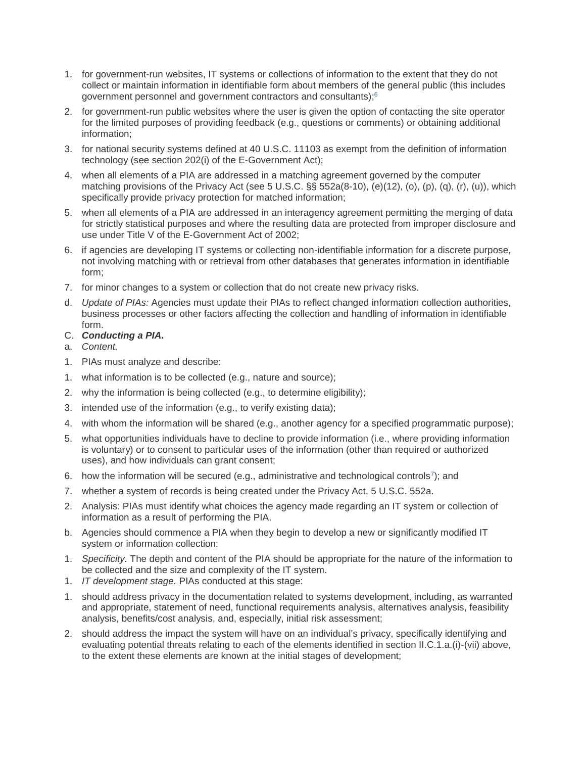- 1. for government-run websites, IT systems or collections of information to the extent that they do not collect or maintain information in identifiable form about members of the general public (this includes government personnel and government contractors and consultants)[;6](https://obamawhitehouse.archives.gov/omb/memoranda_m03-22/#6)
- 2. for government-run public websites where the user is given the option of contacting the site operator for the limited purposes of providing feedback (e.g., questions or comments) or obtaining additional information;
- 3. for national security systems defined at 40 U.S.C. 11103 as exempt from the definition of information technology (see section 202(i) of the E-Government Act);
- 4. when all elements of a PIA are addressed in a matching agreement governed by the computer matching provisions of the Privacy Act (see 5 U.S.C. §§ 552a(8-10), (e)(12), (o), (p), (q), (r), (u)), which specifically provide privacy protection for matched information;
- 5. when all elements of a PIA are addressed in an interagency agreement permitting the merging of data for strictly statistical purposes and where the resulting data are protected from improper disclosure and use under Title V of the E-Government Act of 2002;
- 6. if agencies are developing IT systems or collecting non-identifiable information for a discrete purpose, not involving matching with or retrieval from other databases that generates information in identifiable form;
- 7. for minor changes to a system or collection that do not create new privacy risks.
- d. *Update of PIAs:* Agencies must update their PIAs to reflect changed information collection authorities, business processes or other factors affecting the collection and handling of information in identifiable form.
- C. *Conducting a PIA.*
- a. *Content.*
- 1. PIAs must analyze and describe:
- 1. what information is to be collected (e.g., nature and source);
- 2. why the information is being collected (e.g., to determine eligibility);
- 3. intended use of the information (e.g., to verify existing data);
- 4. with whom the information will be shared (e.g., another agency for a specified programmatic purpose);
- 5. what opportunities individuals have to decline to provide information (i.e., where providing information is voluntary) or to consent to particular uses of the information (other than required or authorized uses), and how individuals can grant consent;
- 6. how the information will be secured (e.g., administrative and technological controls<sup>7</sup>); and
- 7. whether a system of records is being created under the Privacy Act, 5 U.S.C. 552a.
- 2. Analysis: PIAs must identify what choices the agency made regarding an IT system or collection of information as a result of performing the PIA.
- b. Agencies should commence a PIA when they begin to develop a new or significantly modified IT system or information collection:
- 1. *Specificity.* The depth and content of the PIA should be appropriate for the nature of the information to be collected and the size and complexity of the IT system.
- 1. *IT development stage.* PIAs conducted at this stage:
- 1. should address privacy in the documentation related to systems development, including, as warranted and appropriate, statement of need, functional requirements analysis, alternatives analysis, feasibility analysis, benefits/cost analysis, and, especially, initial risk assessment;
- 2. should address the impact the system will have on an individual's privacy, specifically identifying and evaluating potential threats relating to each of the elements identified in section II.C.1.a.(i)-(vii) above, to the extent these elements are known at the initial stages of development;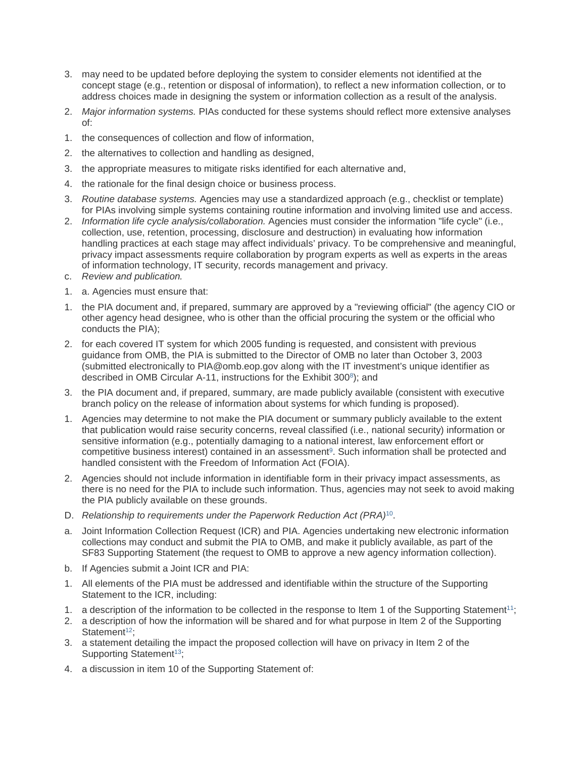- 3. may need to be updated before deploying the system to consider elements not identified at the concept stage (e.g., retention or disposal of information), to reflect a new information collection, or to address choices made in designing the system or information collection as a result of the analysis.
- 2. *Major information systems.* PIAs conducted for these systems should reflect more extensive analyses of:
- 1. the consequences of collection and flow of information,
- 2. the alternatives to collection and handling as designed,
- 3. the appropriate measures to mitigate risks identified for each alternative and,
- 4. the rationale for the final design choice or business process.
- 3. *Routine database systems.* Agencies may use a standardized approach (e.g., checklist or template) for PIAs involving simple systems containing routine information and involving limited use and access.
- 2. *Information life cycle analysis/collaboration.* Agencies must consider the information "life cycle" (i.e., collection, use, retention, processing, disclosure and destruction) in evaluating how information handling practices at each stage may affect individuals' privacy. To be comprehensive and meaningful, privacy impact assessments require collaboration by program experts as well as experts in the areas of information technology, IT security, records management and privacy.
- c. *Review and publication.*
- 1. a. Agencies must ensure that:
- 1. the PIA document and, if prepared, summary are approved by a "reviewing official" (the agency CIO or other agency head designee, who is other than the official procuring the system or the official who conducts the PIA);
- 2. for each covered IT system for which 2005 funding is requested, and consistent with previous guidance from OMB, the PIA is submitted to the Director of OMB no later than October 3, 2003 (submitted electronically to PIA@omb.eop.gov along with the IT investment's unique identifier as described in OMB Circular A-11, instructions for the Exhibit 300<sup>8</sup>); and
- 3. the PIA document and, if prepared, summary, are made publicly available (consistent with executive branch policy on the release of information about systems for which funding is proposed).
- 1. Agencies may determine to not make the PIA document or summary publicly available to the extent that publication would raise security concerns, reveal classified (i.e., national security) information or sensitive information (e.g., potentially damaging to a national interest, law enforcement effort or competitive business interest) contained in an assessment<sup>9</sup>. Such information shall be protected and handled consistent with the Freedom of Information Act (FOIA).
- 2. Agencies should not include information in identifiable form in their privacy impact assessments, as there is no need for the PIA to include such information. Thus, agencies may not seek to avoid making the PIA publicly available on these grounds.
- D. *Relationship to requirements under the Paperwork Reduction Act (PRA)*[10.](https://obamawhitehouse.archives.gov/omb/memoranda_m03-22/#10)
- a. Joint Information Collection Request (ICR) and PIA. Agencies undertaking new electronic information collections may conduct and submit the PIA to OMB, and make it publicly available, as part of the SF83 Supporting Statement (the request to OMB to approve a new agency information collection).
- b. If Agencies submit a Joint ICR and PIA:
- 1. All elements of the PIA must be addressed and identifiable within the structure of the Supporting Statement to the ICR, including:
- 1. a description of the information to be collected in the response to Item 1 of the Supporting Statement<sup>11</sup>;
- 2. a description of how the information will be shared and for what purpose in Item 2 of the Supporting Statement $12$ :
- 3. a statement detailing the impact the proposed collection will have on privacy in Item 2 of the Supporting Statement<sup>13</sup>;
- 4. a discussion in item 10 of the Supporting Statement of: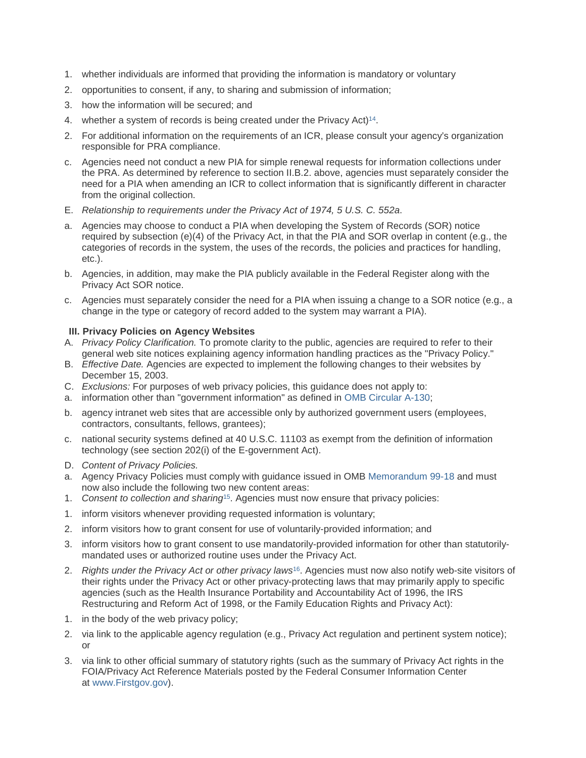- 1. whether individuals are informed that providing the information is mandatory or voluntary
- 2. opportunities to consent, if any, to sharing and submission of information;
- 3. how the information will be secured; and
- 4. whether a system of records is being created under the Privacy Act)<sup>14</sup>.
- 2. For additional information on the requirements of an ICR, please consult your agency's organization responsible for PRA compliance.
- c. Agencies need not conduct a new PIA for simple renewal requests for information collections under the PRA. As determined by reference to section II.B.2. above, agencies must separately consider the need for a PIA when amending an ICR to collect information that is significantly different in character from the original collection.
- E. *Relationship to requirements under the Privacy Act of 1974, 5 U.S. C. 552a*.
- a. Agencies may choose to conduct a PIA when developing the System of Records (SOR) notice required by subsection (e)(4) of the Privacy Act, in that the PIA and SOR overlap in content (e.g., the categories of records in the system, the uses of the records, the policies and practices for handling, etc.).
- b. Agencies, in addition, may make the PIA publicly available in the Federal Register along with the Privacy Act SOR notice.
- c. Agencies must separately consider the need for a PIA when issuing a change to a SOR notice (e.g., a change in the type or category of record added to the system may warrant a PIA).

## **III. Privacy Policies on Agency Websites**

- A. *Privacy Policy Clarification.* To promote clarity to the public, agencies are required to refer to their general web site notices explaining agency information handling practices as the "Privacy Policy."
- B. *Effective Date.* Agencies are expected to implement the following changes to their websites by December 15, 2003.
- C. *Exclusions:* For purposes of web privacy policies, this guidance does not apply to:
- a. information other than "government information" as defined in [OMB Circular A-130;](https://obamawhitehouse.archives.gov/omb/circulars_a130_a130trans4/)
- b. agency intranet web sites that are accessible only by authorized government users (employees, contractors, consultants, fellows, grantees);
- c. national security systems defined at 40 U.S.C. 11103 as exempt from the definition of information technology (see section 202(i) of the E-government Act).
- D. *Content of Privacy Policies.*
- a. Agency Privacy Policies must comply with guidance issued in OMB [Memorandum 99-18](https://obamawhitehouse.archives.gov/omb/memoranda_m99-18/) and must now also include the following two new content areas:
- 1. *Consent to collection and sharing*[15.](https://obamawhitehouse.archives.gov/omb/memoranda_m03-22/#15) Agencies must now ensure that privacy policies:
- 1. inform visitors whenever providing requested information is voluntary;
- 2. inform visitors how to grant consent for use of voluntarily-provided information; and
- 3. inform visitors how to grant consent to use mandatorily-provided information for other than statutorilymandated uses or authorized routine uses under the Privacy Act.
- 2. *Rights under the Privacy Act or other privacy laws*[16.](https://obamawhitehouse.archives.gov/omb/memoranda_m03-22/#16) Agencies must now also notify web-site visitors of their rights under the Privacy Act or other privacy-protecting laws that may primarily apply to specific agencies (such as the Health Insurance Portability and Accountability Act of 1996, the IRS Restructuring and Reform Act of 1998, or the Family Education Rights and Privacy Act):
- 1. in the body of the web privacy policy;
- 2. via link to the applicable agency regulation (e.g., Privacy Act regulation and pertinent system notice); or
- 3. via link to other official summary of statutory rights (such as the summary of Privacy Act rights in the FOIA/Privacy Act Reference Materials posted by the Federal Consumer Information Center at [www.Firstgov.gov\)](http://www.firstgov.gov/).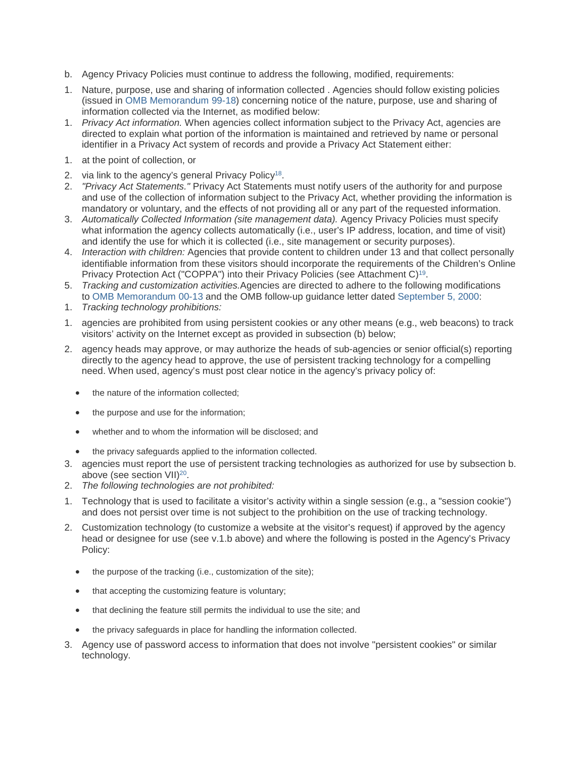- b. Agency Privacy Policies must continue to address the following, modified, requirements:
- 1. Nature, purpose, use and sharing of information collected . Agencies should follow existing policies (issued in [OMB Memorandum 99-18\)](https://www.whitehouse.gov/wp-content/uploads/2017/11/1999-M-99-18-Privacy-Policies-on-Federal-Web-Sites.pdf) concerning notice of the nature, purpose, use and sharing of information collected via the Internet, as modified below:
- 1. *Privacy Act information.* When agencies collect information subject to the Privacy Act, agencies are directed to explain what portion of the information is maintained and retrieved by name or personal identifier in a Privacy Act system of records and provide a Privacy Act Statement either:
- 1. at the point of collection, or
- 2. via link to the agency's general Privacy Policy<sup>18</sup>.
- 2. *"Privacy Act Statements."* Privacy Act Statements must notify users of the authority for and purpose and use of the collection of information subject to the Privacy Act, whether providing the information is mandatory or voluntary, and the effects of not providing all or any part of the requested information.
- 3. *Automatically Collected Information (site management data).* Agency Privacy Policies must specify what information the agency collects automatically (i.e., user's IP address, location, and time of visit) and identify the use for which it is collected (i.e., site management or security purposes).
- 4. *Interaction with children:* Agencies that provide content to children under 13 and that collect personally identifiable information from these visitors should incorporate the requirements of the Children's Online Privacy Protection Act ("COPPA") into their Privacy Policies (see Attachment C)<sup>19</sup>.
- 5. *Tracking and customization activities.*Agencies are directed to adhere to the following modifications to [OMB Memorandum 00-13](https://www.whitehouse.gov/wp-content/uploads/2017/11/2000-M-00-13-Privacy-Policies-and-Data-Collection-on-Federal-Web-Sites-1.pdf) and the OMB follow-up guidance letter dated [September](https://obamawhitehouse.archives.gov/omb/inforeg_cookies_letter90500/) 5, 2000:
- 1. *Tracking technology prohibitions:*
- 1. agencies are prohibited from using persistent cookies or any other means (e.g., web beacons) to track visitors' activity on the Internet except as provided in subsection (b) below;
- 2. agency heads may approve, or may authorize the heads of sub-agencies or senior official(s) reporting directly to the agency head to approve, the use of persistent tracking technology for a compelling need. When used, agency's must post clear notice in the agency's privacy policy of:
	- the nature of the information collected;
	- the purpose and use for the information:
	- whether and to whom the information will be disclosed; and
	- the privacy safeguards applied to the information collected.
- 3. agencies must report the use of persistent tracking technologies as authorized for use by subsection b. above (see section VII)<sup>20</sup>.
- 2. *The following technologies are not prohibited:*
- 1. Technology that is used to facilitate a visitor's activity within a single session (e.g., a "session cookie") and does not persist over time is not subject to the prohibition on the use of tracking technology.
- 2. Customization technology (to customize a website at the visitor's request) if approved by the agency head or designee for use (see v.1.b above) and where the following is posted in the Agency's Privacy Policy:
	- the purpose of the tracking (i.e., customization of the site);
	- that accepting the customizing feature is voluntary;
	- that declining the feature still permits the individual to use the site; and
	- the privacy safeguards in place for handling the information collected.
- 3. Agency use of password access to information that does not involve "persistent cookies" or similar technology.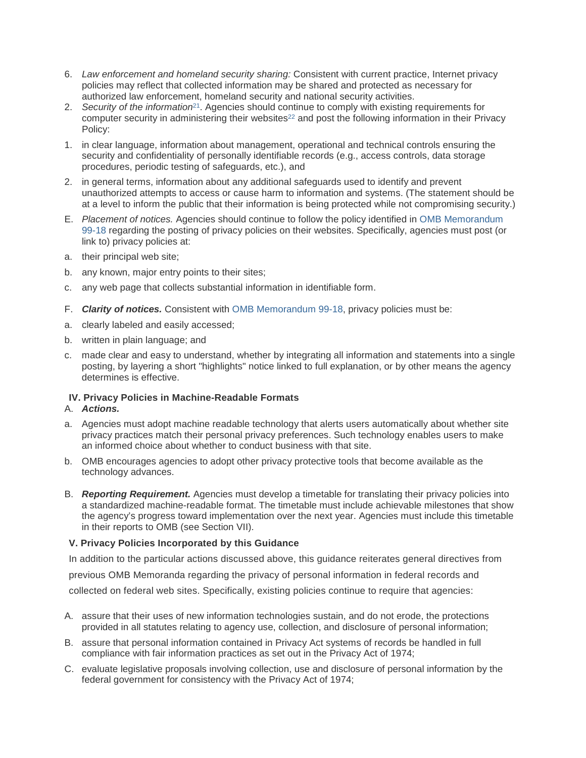- 6. *Law enforcement and homeland security sharing:* Consistent with current practice, Internet privacy policies may reflect that collected information may be shared and protected as necessary for authorized law enforcement, homeland security and national security activities.
- 2. *Security of the information*[21.](https://obamawhitehouse.archives.gov/omb/memoranda_m03-22/#21) Agencies should continue to comply with existing requirements for computer security in administering their websites<sup>22</sup> and post the following information in their Privacy Policy:
- 1. in clear language, information about management, operational and technical controls ensuring the security and confidentiality of personally identifiable records (e.g., access controls, data storage procedures, periodic testing of safeguards, etc.), and
- 2. in general terms, information about any additional safeguards used to identify and prevent unauthorized attempts to access or cause harm to information and systems. (The statement should be at a level to inform the public that their information is being protected while not compromising security.)
- E. *Placement of notices.* Agencies should continue to follow the policy identified in [OMB Memorandum](https://obamawhitehouse.archives.gov/omb/memoranda_m99-18/)  [99-18](https://obamawhitehouse.archives.gov/omb/memoranda_m99-18/) regarding the posting of privacy policies on their websites. Specifically, agencies must post (or link to) privacy policies at:
- a. their principal web site;
- b. any known, major entry points to their sites;
- c. any web page that collects substantial information in identifiable form.
- F. *Clarity of notices.* Consistent with [OMB Memorandum 99-18,](https://www.whitehouse.gov/wp-content/uploads/2017/11/1999-M-99-18-Privacy-Policies-on-Federal-Web-Sites.pdf) privacy policies must be:
- a. clearly labeled and easily accessed;
- b. written in plain language; and
- c. made clear and easy to understand, whether by integrating all information and statements into a single posting, by layering a short "highlights" notice linked to full explanation, or by other means the agency determines is effective.

# **IV. Privacy Policies in Machine-Readable Formats**

## A. *Actions.*

- a. Agencies must adopt machine readable technology that alerts users automatically about whether site privacy practices match their personal privacy preferences. Such technology enables users to make an informed choice about whether to conduct business with that site.
- b. OMB encourages agencies to adopt other privacy protective tools that become available as the technology advances.
- B. *Reporting Requirement.* Agencies must develop a timetable for translating their privacy policies into a standardized machine-readable format. The timetable must include achievable milestones that show the agency's progress toward implementation over the next year. Agencies must include this timetable in their reports to OMB (see Section VII).

# **V. Privacy Policies Incorporated by this Guidance**

In addition to the particular actions discussed above, this guidance reiterates general directives from

previous OMB Memoranda regarding the privacy of personal information in federal records and

collected on federal web sites. Specifically, existing policies continue to require that agencies:

- A. assure that their uses of new information technologies sustain, and do not erode, the protections provided in all statutes relating to agency use, collection, and disclosure of personal information;
- B. assure that personal information contained in Privacy Act systems of records be handled in full compliance with fair information practices as set out in the Privacy Act of 1974;
- C. evaluate legislative proposals involving collection, use and disclosure of personal information by the federal government for consistency with the Privacy Act of 1974;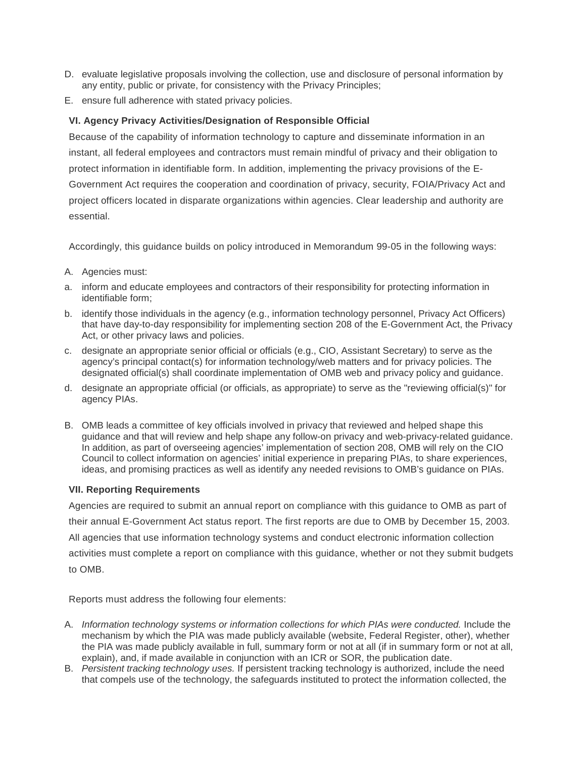- D. evaluate legislative proposals involving the collection, use and disclosure of personal information by any entity, public or private, for consistency with the Privacy Principles;
- E. ensure full adherence with stated privacy policies.

# **VI. Agency Privacy Activities/Designation of Responsible Official**

Because of the capability of information technology to capture and disseminate information in an instant, all federal employees and contractors must remain mindful of privacy and their obligation to protect information in identifiable form. In addition, implementing the privacy provisions of the E-Government Act requires the cooperation and coordination of privacy, security, FOIA/Privacy Act and project officers located in disparate organizations within agencies. Clear leadership and authority are essential.

Accordingly, this guidance builds on policy introduced in Memorandum 99-05 in the following ways:

- A. Agencies must:
- a. inform and educate employees and contractors of their responsibility for protecting information in identifiable form;
- b. identify those individuals in the agency (e.g., information technology personnel, Privacy Act Officers) that have day-to-day responsibility for implementing section 208 of the E-Government Act, the Privacy Act, or other privacy laws and policies.
- c. designate an appropriate senior official or officials (e.g., CIO, Assistant Secretary) to serve as the agency's principal contact(s) for information technology/web matters and for privacy policies. The designated official(s) shall coordinate implementation of OMB web and privacy policy and guidance.
- d. designate an appropriate official (or officials, as appropriate) to serve as the "reviewing official(s)" for agency PIAs.
- B. OMB leads a committee of key officials involved in privacy that reviewed and helped shape this guidance and that will review and help shape any follow-on privacy and web-privacy-related guidance. In addition, as part of overseeing agencies' implementation of section 208, OMB will rely on the CIO Council to collect information on agencies' initial experience in preparing PIAs, to share experiences, ideas, and promising practices as well as identify any needed revisions to OMB's guidance on PIAs.

# **VII. Reporting Requirements**

Agencies are required to submit an annual report on compliance with this guidance to OMB as part of their annual E-Government Act status report. The first reports are due to OMB by December 15, 2003. All agencies that use information technology systems and conduct electronic information collection activities must complete a report on compliance with this guidance, whether or not they submit budgets to OMB.

Reports must address the following four elements:

- A. *Information technology systems or information collections for which PIAs were conducted.* Include the mechanism by which the PIA was made publicly available (website, Federal Register, other), whether the PIA was made publicly available in full, summary form or not at all (if in summary form or not at all, explain), and, if made available in conjunction with an ICR or SOR, the publication date.
- B. *Persistent tracking technology uses.* If persistent tracking technology is authorized, include the need that compels use of the technology, the safeguards instituted to protect the information collected, the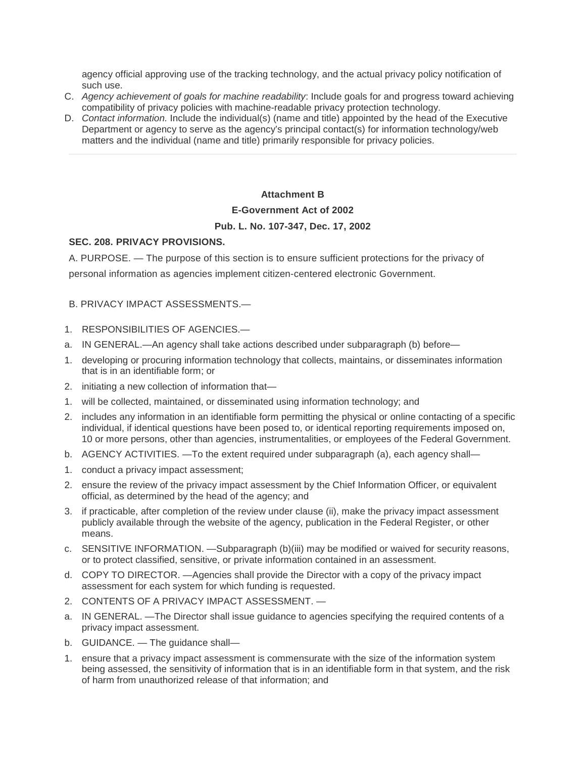agency official approving use of the tracking technology, and the actual privacy policy notification of such use.

- C. *Agency achievement of goals for machine readability*: Include goals for and progress toward achieving compatibility of privacy policies with machine-readable privacy protection technology.
- D. *Contact information.* Include the individual(s) (name and title) appointed by the head of the Executive Department or agency to serve as the agency's principal contact(s) for information technology/web matters and the individual (name and title) primarily responsible for privacy policies.

# **Attachment B**

## **E-Government Act of 2002**

# **Pub. L. No. 107-347, Dec. 17, 2002**

# <span id="page-10-0"></span>**SEC. 208. PRIVACY PROVISIONS.**

A. PURPOSE. — The purpose of this section is to ensure sufficient protections for the privacy of personal information as agencies implement citizen-centered electronic Government.

# B. PRIVACY IMPACT ASSESSMENTS.—

- 1. RESPONSIBILITIES OF AGENCIES.—
- a. IN GENERAL.—An agency shall take actions described under subparagraph (b) before—
- 1. developing or procuring information technology that collects, maintains, or disseminates information that is in an identifiable form; or
- 2. initiating a new collection of information that—
- 1. will be collected, maintained, or disseminated using information technology; and
- 2. includes any information in an identifiable form permitting the physical or online contacting of a specific individual, if identical questions have been posed to, or identical reporting requirements imposed on, 10 or more persons, other than agencies, instrumentalities, or employees of the Federal Government.
- b. AGENCY ACTIVITIES. —To the extent required under subparagraph (a), each agency shall—
- 1. conduct a privacy impact assessment;
- 2. ensure the review of the privacy impact assessment by the Chief Information Officer, or equivalent official, as determined by the head of the agency; and
- 3. if practicable, after completion of the review under clause (ii), make the privacy impact assessment publicly available through the website of the agency, publication in the Federal Register, or other means.
- c. SENSITIVE INFORMATION. —Subparagraph (b)(iii) may be modified or waived for security reasons, or to protect classified, sensitive, or private information contained in an assessment.
- d. COPY TO DIRECTOR. —Agencies shall provide the Director with a copy of the privacy impact assessment for each system for which funding is requested.
- 2. CONTENTS OF A PRIVACY IMPACT ASSESSMENT. —
- a. IN GENERAL. —The Director shall issue guidance to agencies specifying the required contents of a privacy impact assessment.
- b. GUIDANCE. The guidance shall—
- 1. ensure that a privacy impact assessment is commensurate with the size of the information system being assessed, the sensitivity of information that is in an identifiable form in that system, and the risk of harm from unauthorized release of that information; and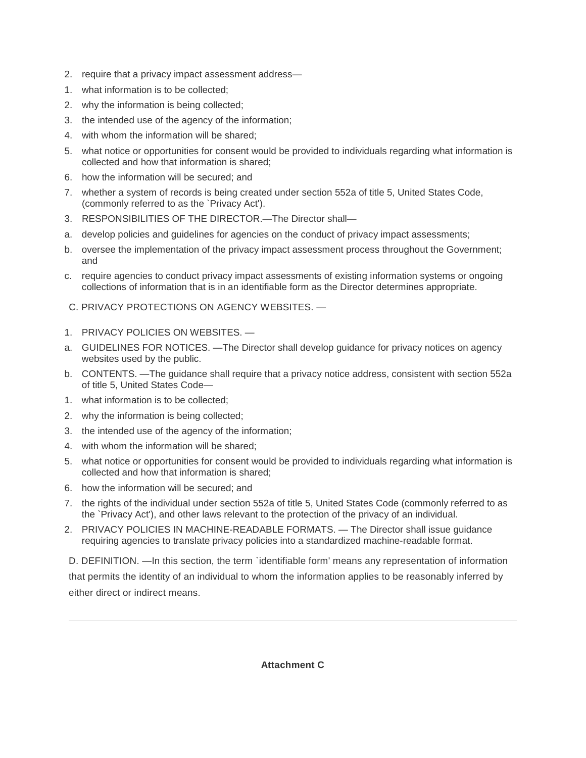- 2. require that a privacy impact assessment address—
- 1. what information is to be collected;
- 2. why the information is being collected;
- 3. the intended use of the agency of the information;
- 4. with whom the information will be shared;
- 5. what notice or opportunities for consent would be provided to individuals regarding what information is collected and how that information is shared;
- 6. how the information will be secured; and
- 7. whether a system of records is being created under section 552a of title 5, United States Code, (commonly referred to as the `Privacy Act').
- 3. RESPONSIBILITIES OF THE DIRECTOR.—The Director shall—
- a. develop policies and guidelines for agencies on the conduct of privacy impact assessments;
- b. oversee the implementation of the privacy impact assessment process throughout the Government; and
- c. require agencies to conduct privacy impact assessments of existing information systems or ongoing collections of information that is in an identifiable form as the Director determines appropriate.
- C. PRIVACY PROTECTIONS ON AGENCY WEBSITES. —
- 1. PRIVACY POLICIES ON WEBSITES. —
- a. GUIDELINES FOR NOTICES. —The Director shall develop guidance for privacy notices on agency websites used by the public.
- b. CONTENTS. —The guidance shall require that a privacy notice address, consistent with section 552a of title 5, United States Code—
- 1. what information is to be collected;
- 2. why the information is being collected;
- 3. the intended use of the agency of the information;
- 4. with whom the information will be shared;
- 5. what notice or opportunities for consent would be provided to individuals regarding what information is collected and how that information is shared;
- 6. how the information will be secured; and
- 7. the rights of the individual under section 552a of title 5, United States Code (commonly referred to as the `Privacy Act'), and other laws relevant to the protection of the privacy of an individual.
- 2. PRIVACY POLICIES IN MACHINE-READABLE FORMATS. The Director shall issue guidance requiring agencies to translate privacy policies into a standardized machine-readable format.

D. DEFINITION. —In this section, the term `identifiable form' means any representation of information that permits the identity of an individual to whom the information applies to be reasonably inferred by either direct or indirect means.

# <span id="page-11-0"></span>**Attachment C**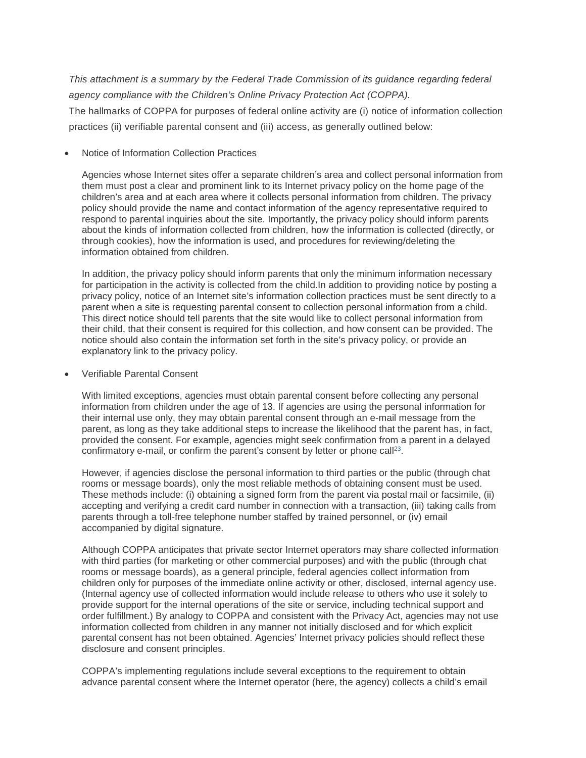*This attachment is a summary by the Federal Trade Commission of its guidance regarding federal agency compliance with the Children's Online Privacy Protection Act (COPPA).*

The hallmarks of COPPA for purposes of federal online activity are (i) notice of information collection practices (ii) verifiable parental consent and (iii) access, as generally outlined below:

• Notice of Information Collection Practices

Agencies whose Internet sites offer a separate children's area and collect personal information from them must post a clear and prominent link to its Internet privacy policy on the home page of the children's area and at each area where it collects personal information from children. The privacy policy should provide the name and contact information of the agency representative required to respond to parental inquiries about the site. Importantly, the privacy policy should inform parents about the kinds of information collected from children, how the information is collected (directly, or through cookies), how the information is used, and procedures for reviewing/deleting the information obtained from children.

In addition, the privacy policy should inform parents that only the minimum information necessary for participation in the activity is collected from the child.In addition to providing notice by posting a privacy policy, notice of an Internet site's information collection practices must be sent directly to a parent when a site is requesting parental consent to collection personal information from a child. This direct notice should tell parents that the site would like to collect personal information from their child, that their consent is required for this collection, and how consent can be provided. The notice should also contain the information set forth in the site's privacy policy, or provide an explanatory link to the privacy policy.

• Verifiable Parental Consent

With limited exceptions, agencies must obtain parental consent before collecting any personal information from children under the age of 13. If agencies are using the personal information for their internal use only, they may obtain parental consent through an e-mail message from the parent, as long as they take additional steps to increase the likelihood that the parent has, in fact, provided the consent. For example, agencies might seek confirmation from a parent in a delayed confirmatory e-mail, or confirm the parent's consent by letter or phone call<sup>23</sup>.

However, if agencies disclose the personal information to third parties or the public (through chat rooms or message boards), only the most reliable methods of obtaining consent must be used. These methods include: (i) obtaining a signed form from the parent via postal mail or facsimile, (ii) accepting and verifying a credit card number in connection with a transaction, (iii) taking calls from parents through a toll-free telephone number staffed by trained personnel, or (iv) email accompanied by digital signature.

Although COPPA anticipates that private sector Internet operators may share collected information with third parties (for marketing or other commercial purposes) and with the public (through chat rooms or message boards), as a general principle, federal agencies collect information from children only for purposes of the immediate online activity or other, disclosed, internal agency use. (Internal agency use of collected information would include release to others who use it solely to provide support for the internal operations of the site or service, including technical support and order fulfillment.) By analogy to COPPA and consistent with the Privacy Act, agencies may not use information collected from children in any manner not initially disclosed and for which explicit parental consent has not been obtained. Agencies' Internet privacy policies should reflect these disclosure and consent principles.

COPPA's implementing regulations include several exceptions to the requirement to obtain advance parental consent where the Internet operator (here, the agency) collects a child's email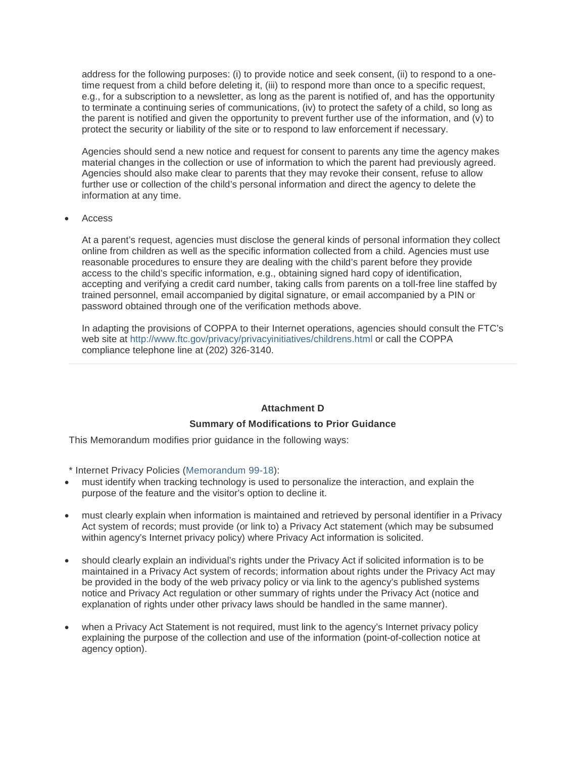address for the following purposes: (i) to provide notice and seek consent, (ii) to respond to a onetime request from a child before deleting it, (iii) to respond more than once to a specific request, e.g., for a subscription to a newsletter, as long as the parent is notified of, and has the opportunity to terminate a continuing series of communications, (iv) to protect the safety of a child, so long as the parent is notified and given the opportunity to prevent further use of the information, and (v) to protect the security or liability of the site or to respond to law enforcement if necessary.

Agencies should send a new notice and request for consent to parents any time the agency makes material changes in the collection or use of information to which the parent had previously agreed. Agencies should also make clear to parents that they may revoke their consent, refuse to allow further use or collection of the child's personal information and direct the agency to delete the information at any time.

• Access

At a parent's request, agencies must disclose the general kinds of personal information they collect online from children as well as the specific information collected from a child. Agencies must use reasonable procedures to ensure they are dealing with the child's parent before they provide access to the child's specific information, e.g., obtaining signed hard copy of identification, accepting and verifying a credit card number, taking calls from parents on a toll-free line staffed by trained personnel, email accompanied by digital signature, or email accompanied by a PIN or password obtained through one of the verification methods above.

In adapting the provisions of COPPA to their Internet operations, agencies should consult the FTC's web site at <http://www.ftc.gov/privacy/privacyinitiatives/childrens.html> or call the COPPA compliance telephone line at (202) 326-3140.

# <span id="page-13-0"></span>**Attachment D**

# **Summary of Modifications to Prior Guidance**

This Memorandum modifies prior guidance in the following ways:

\* Internet Privacy Policies [\(Memorandum 99-18\)](https://www.whitehouse.gov/wp-content/uploads/2017/11/1999-M-99-18-Privacy-Policies-on-Federal-Web-Sites.pdf):

- must identify when tracking technology is used to personalize the interaction, and explain the purpose of the feature and the visitor's option to decline it.
- must clearly explain when information is maintained and retrieved by personal identifier in a Privacy Act system of records; must provide (or link to) a Privacy Act statement (which may be subsumed within agency's Internet privacy policy) where Privacy Act information is solicited.
- should clearly explain an individual's rights under the Privacy Act if solicited information is to be maintained in a Privacy Act system of records; information about rights under the Privacy Act may be provided in the body of the web privacy policy or via link to the agency's published systems notice and Privacy Act regulation or other summary of rights under the Privacy Act (notice and explanation of rights under other privacy laws should be handled in the same manner).
- when a Privacy Act Statement is not required, must link to the agency's Internet privacy policy explaining the purpose of the collection and use of the information (point-of-collection notice at agency option).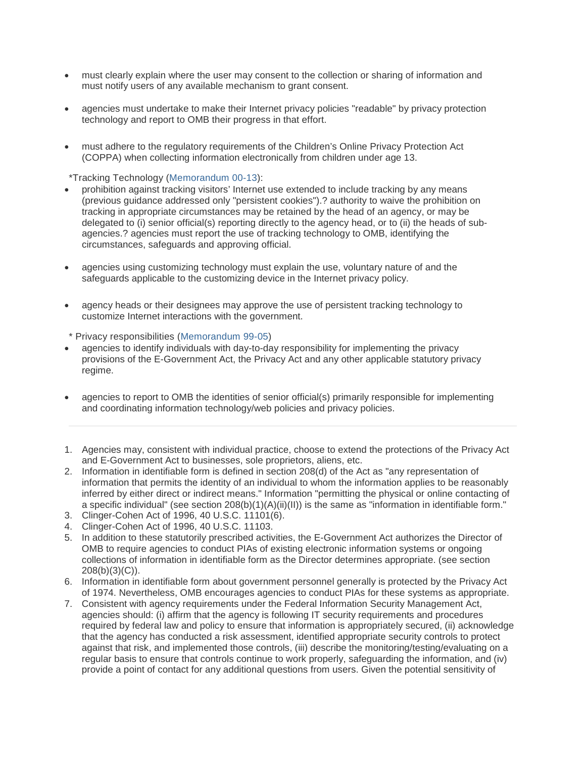- must clearly explain where the user may consent to the collection or sharing of information and must notify users of any available mechanism to grant consent.
- agencies must undertake to make their Internet privacy policies "readable" by privacy protection technology and report to OMB their progress in that effort.
- must adhere to the regulatory requirements of the Children's Online Privacy Protection Act (COPPA) when collecting information electronically from children under age 13.

\*Tracking Technology [\(Memorandum 00-13\)](https://www.whitehouse.gov/wp-content/uploads/2017/11/2000-M-00-13-Privacy-Policies-and-Data-Collection-on-Federal-Web-Sites-1.pdf):

- prohibition against tracking visitors' Internet use extended to include tracking by any means (previous guidance addressed only "persistent cookies").? authority to waive the prohibition on tracking in appropriate circumstances may be retained by the head of an agency, or may be delegated to (i) senior official(s) reporting directly to the agency head, or to (ii) the heads of subagencies.? agencies must report the use of tracking technology to OMB, identifying the circumstances, safeguards and approving official.
- agencies using customizing technology must explain the use, voluntary nature of and the safeguards applicable to the customizing device in the Internet privacy policy.
- agency heads or their designees may approve the use of persistent tracking technology to customize Internet interactions with the government.

\* Privacy responsibilities [\(Memorandum 99-05\)](https://www.whitehouse.gov/wp-content/uploads/2017/11/1999-M-99-05-Instructions-on-Complying-with-Presidents-Memorandum-of-May-14-1998-Privacy-and-Personal-Information-in-Federal-Records.pdf)

- agencies to identify individuals with day-to-day responsibility for implementing the privacy provisions of the E-Government Act, the Privacy Act and any other applicable statutory privacy regime.
- agencies to report to OMB the identities of senior official(s) primarily responsible for implementing and coordinating information technology/web policies and privacy policies.
- 1. Agencies may, consistent with individual practice, choose to extend the protections of the Privacy Act and E-Government Act to businesses, sole proprietors, aliens, etc.
- 2. Information in identifiable form is defined in section 208(d) of the Act as "any representation of information that permits the identity of an individual to whom the information applies to be reasonably inferred by either direct or indirect means." Information "permitting the physical or online contacting of a specific individual" (see section  $208(b)(1)(A)(ii)(II))$  is the same as "information in identifiable form."
- 3. Clinger-Cohen Act of 1996, 40 U.S.C. 11101(6).
- 4. Clinger-Cohen Act of 1996, 40 U.S.C. 11103.
- 5. In addition to these statutorily prescribed activities, the E-Government Act authorizes the Director of OMB to require agencies to conduct PIAs of existing electronic information systems or ongoing collections of information in identifiable form as the Director determines appropriate. (see section 208(b)(3)(C)).
- 6. Information in identifiable form about government personnel generally is protected by the Privacy Act of 1974. Nevertheless, OMB encourages agencies to conduct PIAs for these systems as appropriate.
- 7. Consistent with agency requirements under the Federal Information Security Management Act, agencies should: (i) affirm that the agency is following IT security requirements and procedures required by federal law and policy to ensure that information is appropriately secured, (ii) acknowledge that the agency has conducted a risk assessment, identified appropriate security controls to protect against that risk, and implemented those controls, (iii) describe the monitoring/testing/evaluating on a regular basis to ensure that controls continue to work properly, safeguarding the information, and (iv) provide a point of contact for any additional questions from users. Given the potential sensitivity of